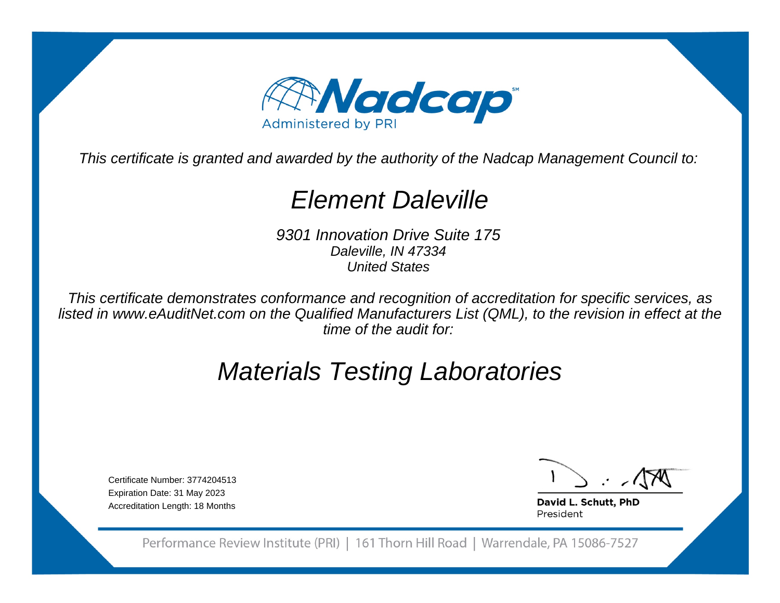

This certificate is granted and awarded by the authority of the Nadcap Management Council to:

# Element Daleville

9301 Innovation Drive Suite 175Daleville, IN 47334United States

This certificate demonstrates conformance and recognition of accreditation for specific services, as listed in www.eAuditNet.com on the Qualified Manufacturers List (QML), to the revision in effect at thetime of the audit for:

# Materials Testing Laboratories

Certificate Number: 3774204513Expiration Date: 31 May 2023Accreditation Length: 18 Months

David L. Schutt, PhD President

Performance Review Institute (PRI) | 161 Thorn Hill Road | Warrendale, PA 15086-7527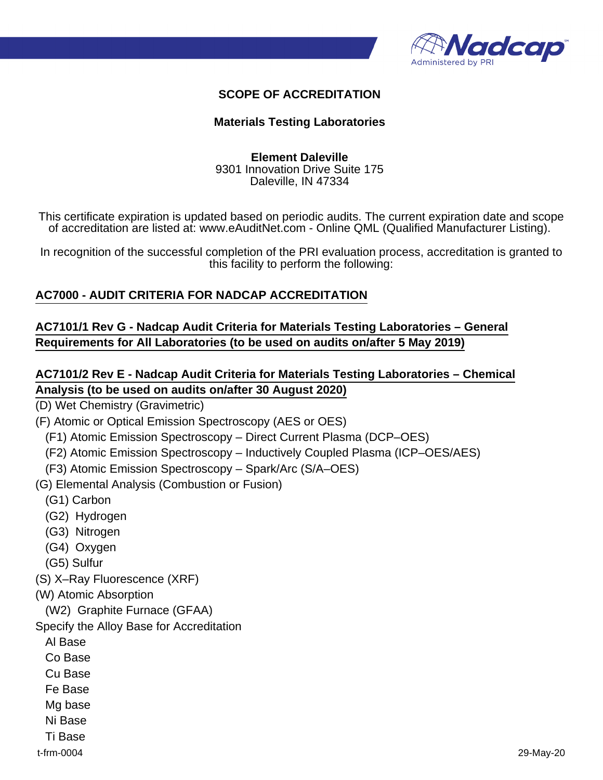

#### **SCOPE OF ACCREDITATION**

#### **Materials Testing Laboratories**

#### **Element Daleville** 9301 Innovation Drive Suite 175 Daleville, IN 47334

This certificate expiration is updated based on periodic audits. The current expiration date and scope of accreditation are listed at: www.eAuditNet.com - Online QML (Qualified Manufacturer Listing).

In recognition of the successful completion of the PRI evaluation process, accreditation is granted to this facility to perform the following:

#### **AC7000 - AUDIT CRITERIA FOR NADCAP ACCREDITATION**

#### **AC7101/1 Rev G - Nadcap Audit Criteria for Materials Testing Laboratories – General Requirements for All Laboratories (to be used on audits on/after 5 May 2019)**

### **AC7101/2 Rev E - Nadcap Audit Criteria for Materials Testing Laboratories – Chemical Analysis (to be used on audits on/after 30 August 2020)**

(D) Wet Chemistry (Gravimetric)

(F) Atomic or Optical Emission Spectroscopy (AES or OES)

(F1) Atomic Emission Spectroscopy – Direct Current Plasma (DCP–OES)

(F2) Atomic Emission Spectroscopy – Inductively Coupled Plasma (ICP–OES/AES)

(F3) Atomic Emission Spectroscopy – Spark/Arc (S/A–OES)

(G) Elemental Analysis (Combustion or Fusion)

(G1) Carbon

- (G2) Hydrogen
- (G3) Nitrogen
- (G4) Oxygen
- (G5) Sulfur

(S) X–Ray Fluorescence (XRF)

(W) Atomic Absorption

(W2) Graphite Furnace (GFAA)

Specify the Alloy Base for Accreditation

Al Base

Co Base

Cu Base

Fe Base

Mg base

Ni Base

Ti Base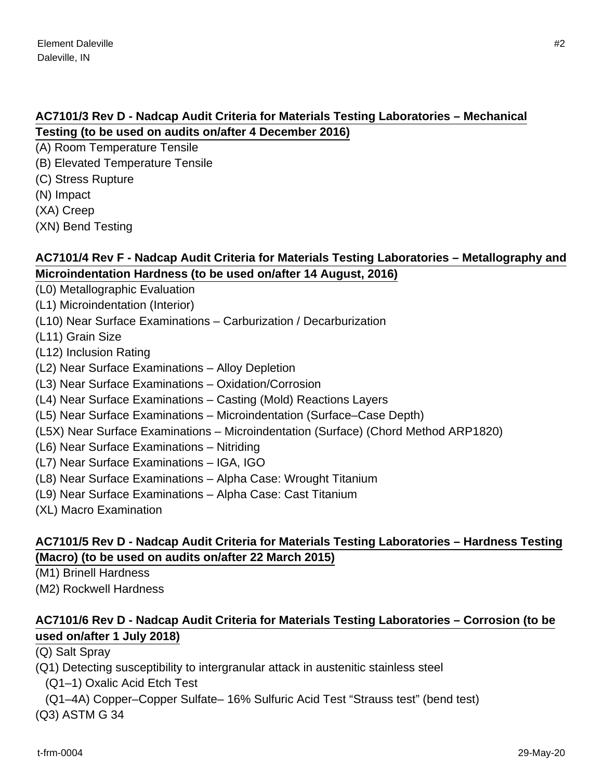### **AC7101/3 Rev D - Nadcap Audit Criteria for Materials Testing Laboratories – Mechanical Testing (to be used on audits on/after 4 December 2016)**

- (A) Room Temperature Tensile
- (B) Elevated Temperature Tensile
- (C) Stress Rupture
- (N) Impact
- (XA) Creep
- (XN) Bend Testing

### **AC7101/4 Rev F - Nadcap Audit Criteria for Materials Testing Laboratories – Metallography and Microindentation Hardness (to be used on/after 14 August, 2016)**

- (L0) Metallographic Evaluation
- (L1) Microindentation (Interior)
- (L10) Near Surface Examinations Carburization / Decarburization
- (L11) Grain Size
- (L12) Inclusion Rating
- (L2) Near Surface Examinations Alloy Depletion
- (L3) Near Surface Examinations Oxidation/Corrosion
- (L4) Near Surface Examinations Casting (Mold) Reactions Layers
- (L5) Near Surface Examinations Microindentation (Surface–Case Depth)
- (L5X) Near Surface Examinations Microindentation (Surface) (Chord Method ARP1820)
- (L6) Near Surface Examinations Nitriding
- (L7) Near Surface Examinations IGA, IGO
- (L8) Near Surface Examinations Alpha Case: Wrought Titanium
- (L9) Near Surface Examinations Alpha Case: Cast Titanium
- (XL) Macro Examination

### **AC7101/5 Rev D - Nadcap Audit Criteria for Materials Testing Laboratories – Hardness Testing (Macro) (to be used on audits on/after 22 March 2015)**

(M1) Brinell Hardness

(M2) Rockwell Hardness

# **AC7101/6 Rev D - Nadcap Audit Criteria for Materials Testing Laboratories – Corrosion (to be used on/after 1 July 2018)**

(Q) Salt Spray

(Q1) Detecting susceptibility to intergranular attack in austenitic stainless steel

(Q1–1) Oxalic Acid Etch Test

(Q1–4A) Copper–Copper Sulfate– 16% Sulfuric Acid Test "Strauss test" (bend test)

(Q3) ASTM G 34